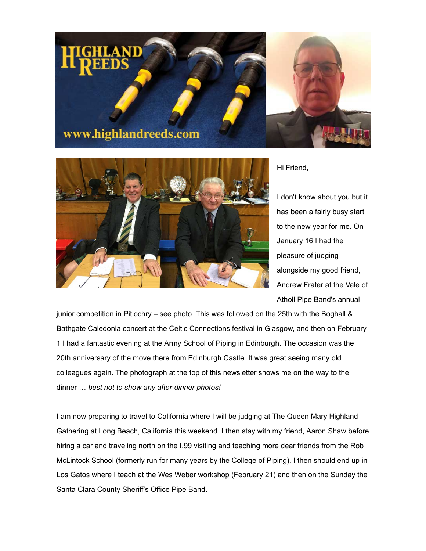



Hi Friend,

I don't know about you but it has been a fairly busy start to the new year for me. On January 16 I had the pleasure of judging alongside my good friend, Andrew Frater at the Vale of Atholl Pipe Band's annual

junior competition in Pitlochry – see photo. This was followed on the 25th with the Boghall & Bathgate Caledonia concert at the Celtic Connections festival in Glasgow, and then on February 1 I had a fantastic evening at the Army School of Piping in Edinburgh. The occasion was the 20th anniversary of the move there from Edinburgh Castle. It was great seeing many old colleagues again. The photograph at the top of this newsletter shows me on the way to the dinner … *best not to show any after-dinner photos!*

I am now preparing to travel to California where I will be judging at The Queen Mary Highland Gathering at Long Beach, California this weekend. I then stay with my friend, Aaron Shaw before hiring a car and traveling north on the I.99 visiting and teaching more dear friends from the Rob McLintock School (formerly run for many years by the College of Piping). I then should end up in Los Gatos where I teach at the Wes Weber workshop (February 21) and then on the Sunday the Santa Clara County Sheriff's Office Pipe Band.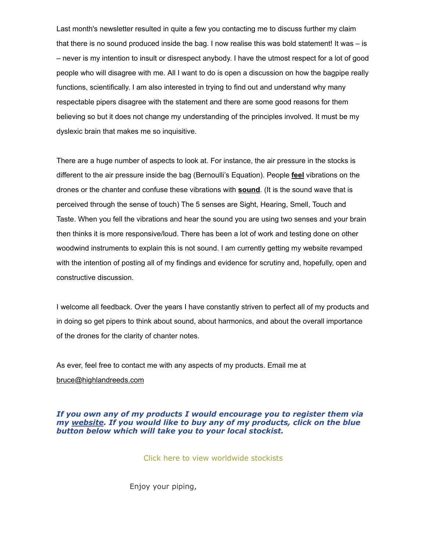Last month's newsletter resulted in quite a few you contacting me to discuss further my claim that there is no sound produced inside the bag. I now realise this was bold statement! It was – is – never is my intention to insult or disrespect anybody. I have the utmost respect for a lot of good people who will disagree with me. All I want to do is open a discussion on how the bagpipe really functions, scientifically. I am also interested in trying to find out and understand why many respectable pipers disagree with the statement and there are some good reasons for them believing so but it does not change my understanding of the principles involved. It must be my dyslexic brain that makes me so inquisitive.

There are a huge number of aspects to look at. For instance, the air pressure in the stocks is different to the air pressure inside the bag (Bernoulli's Equation). People **feel** vibrations on the drones or the chanter and confuse these vibrations with **sound**. (It is the sound wave that is perceived through the sense of touch) The 5 senses are Sight, Hearing, Smell, Touch and Taste. When you fell the vibrations and hear the sound you are using two senses and your brain then thinks it is more responsive/loud. There has been a lot of work and testing done on other woodwind instruments to explain this is not sound. I am currently getting my website revamped with the intention of posting all of my findings and evidence for scrutiny and, hopefully, open and constructive discussion.

I welcome all feedback. Over the years I have constantly striven to perfect all of my products and in doing so get pipers to think about sound, about harmonics, and about the overall importance of the drones for the clarity of chanter notes.

As ever, feel free to contact me with any aspects of my products. Email me at [bruce@highlandreeds.com](mailto:bruce@highlandreeds.com)

*If you own any of my products I would encourage you to register them via my [website](http://www.highlandreeds.com/). If you would like to buy any of my products, click on the blue button below which will take you to your local stockist.* 

[Click here to view worldwide stockists](http://www.highlandreeds.com/purchase/)

Enjoy your piping,